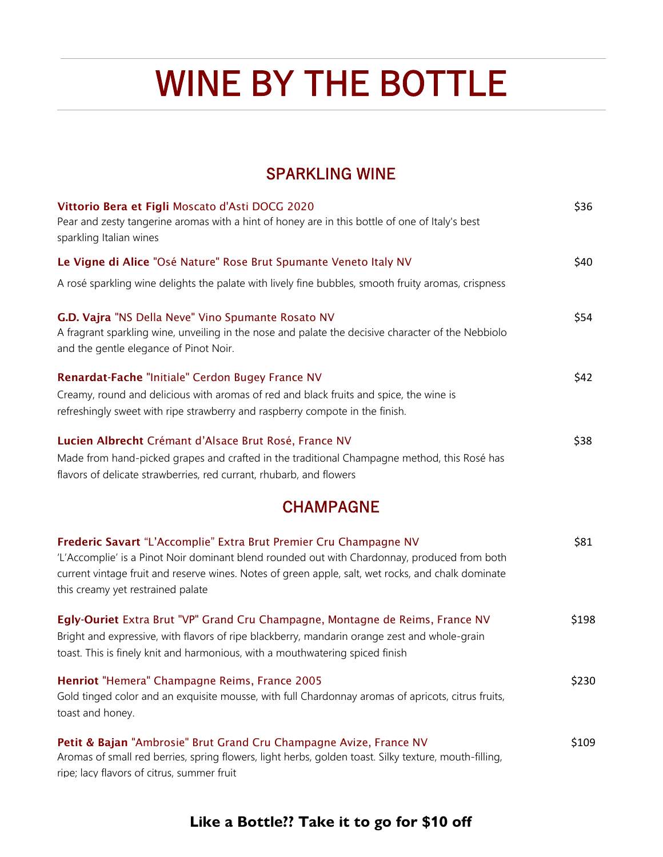# WINE BY THE BOTTLE

#### SPARKLING WINE

| Vittorio Bera et Figli Moscato d'Asti DOCG 2020<br>Pear and zesty tangerine aromas with a hint of honey are in this bottle of one of Italy's best<br>sparkling Italian wines                                                                                                                                 | \$36  |
|--------------------------------------------------------------------------------------------------------------------------------------------------------------------------------------------------------------------------------------------------------------------------------------------------------------|-------|
| Le Vigne di Alice "Osé Nature" Rose Brut Spumante Veneto Italy NV                                                                                                                                                                                                                                            | \$40  |
| A rosé sparkling wine delights the palate with lively fine bubbles, smooth fruity aromas, crispness                                                                                                                                                                                                          |       |
| G.D. Vajra "NS Della Neve" Vino Spumante Rosato NV<br>A fragrant sparkling wine, unveiling in the nose and palate the decisive character of the Nebbiolo<br>and the gentle elegance of Pinot Noir.                                                                                                           | \$54  |
| Renardat-Fache "Initiale" Cerdon Bugey France NV                                                                                                                                                                                                                                                             | \$42  |
| Creamy, round and delicious with aromas of red and black fruits and spice, the wine is<br>refreshingly sweet with ripe strawberry and raspberry compote in the finish.                                                                                                                                       |       |
| Lucien Albrecht Crémant d'Alsace Brut Rosé, France NV<br>Made from hand-picked grapes and crafted in the traditional Champagne method, this Rosé has<br>flavors of delicate strawberries, red currant, rhubarb, and flowers                                                                                  | \$38  |
| <b>CHAMPAGNE</b>                                                                                                                                                                                                                                                                                             |       |
| Frederic Savart "L'Accomplie" Extra Brut Premier Cru Champagne NV<br>'L'Accomplie' is a Pinot Noir dominant blend rounded out with Chardonnay, produced from both<br>current vintage fruit and reserve wines. Notes of green apple, salt, wet rocks, and chalk dominate<br>this creamy yet restrained palate | \$81  |
| Egly-Ouriet Extra Brut "VP" Grand Cru Champagne, Montagne de Reims, France NV<br>Bright and expressive, with flavors of ripe blackberry, mandarin orange zest and whole-grain<br>toast. This is finely knit and harmonious, with a mouthwatering spiced finish                                               | \$198 |
| Henriot "Hemera" Champagne Reims, France 2005<br>Gold tinged color and an exquisite mousse, with full Chardonnay aromas of apricots, citrus fruits,<br>toast and honey.                                                                                                                                      | \$230 |
| Petit & Bajan "Ambrosie" Brut Grand Cru Champagne Avize, France NV<br>Aromas of small red berries, spring flowers, light herbs, golden toast. Silky texture, mouth-filling,                                                                                                                                  | \$109 |

ripe; lacy flavors of citrus, summer fruit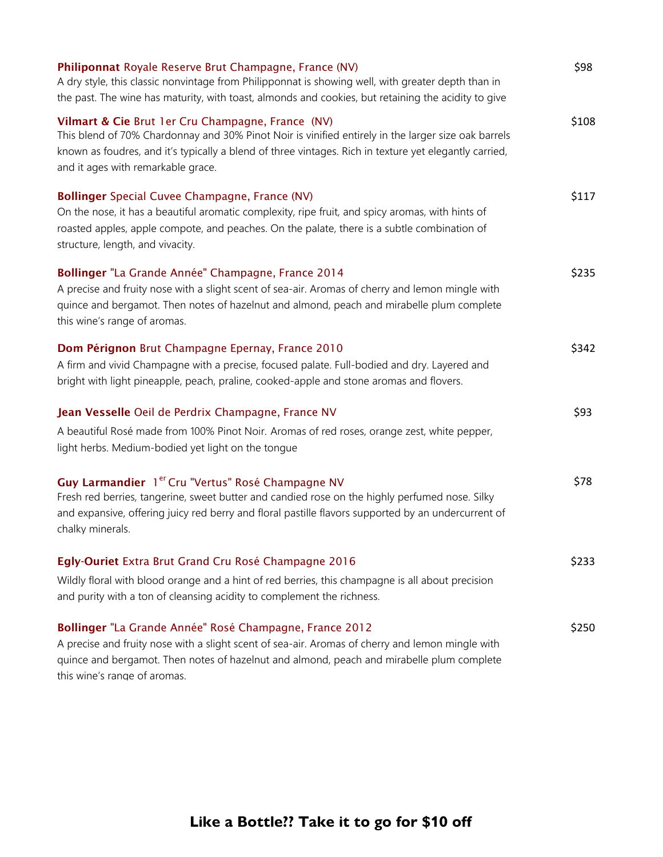| Philiponnat Royale Reserve Brut Champagne, France (NV)<br>A dry style, this classic nonvintage from Philipponnat is showing well, with greater depth than in<br>the past. The wine has maturity, with toast, almonds and cookies, but retaining the acidity to give                                      | \$98  |
|----------------------------------------------------------------------------------------------------------------------------------------------------------------------------------------------------------------------------------------------------------------------------------------------------------|-------|
| Vilmart & Cie Brut 1er Cru Champagne, France (NV)<br>This blend of 70% Chardonnay and 30% Pinot Noir is vinified entirely in the larger size oak barrels<br>known as foudres, and it's typically a blend of three vintages. Rich in texture yet elegantly carried,<br>and it ages with remarkable grace. | \$108 |
| Bollinger Special Cuvee Champagne, France (NV)<br>On the nose, it has a beautiful aromatic complexity, ripe fruit, and spicy aromas, with hints of<br>roasted apples, apple compote, and peaches. On the palate, there is a subtle combination of<br>structure, length, and vivacity.                    | \$117 |
| Bollinger "La Grande Année" Champagne, France 2014<br>A precise and fruity nose with a slight scent of sea-air. Aromas of cherry and lemon mingle with<br>quince and bergamot. Then notes of hazelnut and almond, peach and mirabelle plum complete<br>this wine's range of aromas.                      | \$235 |
| Dom Pérignon Brut Champagne Epernay, France 2010<br>A firm and vivid Champagne with a precise, focused palate. Full-bodied and dry. Layered and<br>bright with light pineapple, peach, praline, cooked-apple and stone aromas and flovers.                                                               | \$342 |
| Jean Vesselle Oeil de Perdrix Champagne, France NV<br>A beautiful Rosé made from 100% Pinot Noir. Aromas of red roses, orange zest, white pepper,<br>light herbs. Medium-bodied yet light on the tongue                                                                                                  | \$93  |
| Guy Larmandier 1 <sup>er</sup> Cru "Vertus" Rosé Champagne NV<br>Fresh red berries, tangerine, sweet butter and candied rose on the highly perfumed nose. Silky<br>and expansive, offering juicy red berry and floral pastille flavors supported by an undercurrent of<br>chalky minerals.               | \$78  |
| Egly-Ouriet Extra Brut Grand Cru Rosé Champagne 2016<br>Wildly floral with blood orange and a hint of red berries, this champagne is all about precision<br>and purity with a ton of cleansing acidity to complement the richness.                                                                       | \$233 |
| Bollinger "La Grande Année" Rosé Champagne, France 2012<br>A precise and fruity nose with a slight scent of sea-air. Aromas of cherry and lemon mingle with<br>quince and bergamot. Then notes of hazelnut and almond, peach and mirabelle plum complete                                                 | \$250 |

this wine's range of aromas.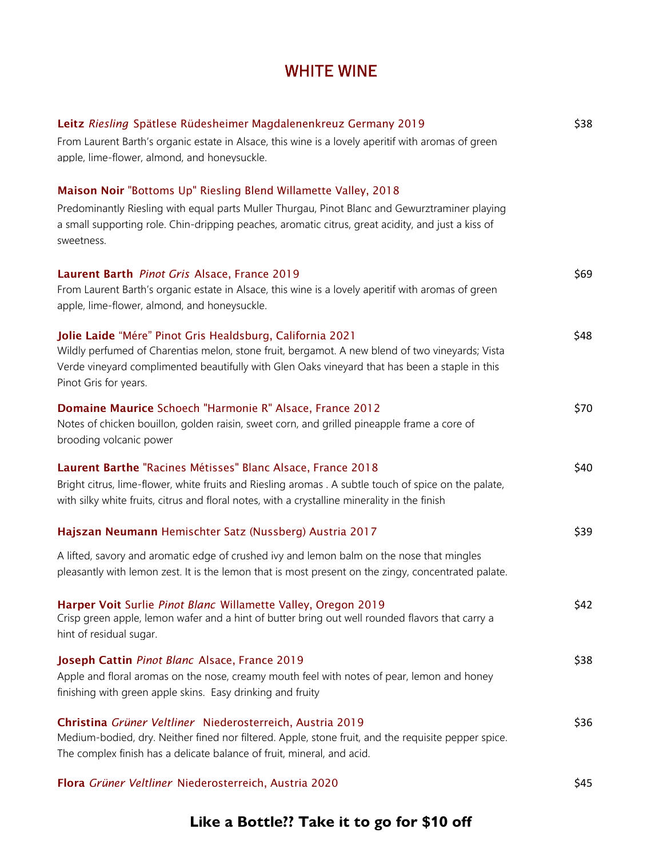### WHITE WINE

| Leitz Riesling Spätlese Rüdesheimer Magdalenenkreuz Germany 2019<br>From Laurent Barth's organic estate in Alsace, this wine is a lovely aperitif with aromas of green<br>apple, lime-flower, almond, and honevsuckle.                                                                  | \$38 |
|-----------------------------------------------------------------------------------------------------------------------------------------------------------------------------------------------------------------------------------------------------------------------------------------|------|
| Maison Noir "Bottoms Up" Riesling Blend Willamette Valley, 2018<br>Predominantly Riesling with equal parts Muller Thurgau, Pinot Blanc and Gewurztraminer playing<br>a small supporting role. Chin-dripping peaches, aromatic citrus, great acidity, and just a kiss of<br>sweetness.   |      |
| Laurent Barth Pinot Gris Alsace, France 2019<br>From Laurent Barth's organic estate in Alsace, this wine is a lovely aperitif with aromas of green<br>apple, lime-flower, almond, and honeysuckle.                                                                                      | \$69 |
| Jolie Laide "Mére" Pinot Gris Healdsburg, California 2021<br>Wildly perfumed of Charentias melon, stone fruit, bergamot. A new blend of two vineyards; Vista<br>Verde vineyard complimented beautifully with Glen Oaks vineyard that has been a staple in this<br>Pinot Gris for years. | \$48 |
| Domaine Maurice Schoech "Harmonie R" Alsace, France 2012<br>Notes of chicken bouillon, golden raisin, sweet corn, and grilled pineapple frame a core of<br>brooding volcanic power                                                                                                      | \$70 |
| Laurent Barthe "Racines Métisses" Blanc Alsace, France 2018<br>Bright citrus, lime-flower, white fruits and Riesling aromas . A subtle touch of spice on the palate,<br>with silky white fruits, citrus and floral notes, with a crystalline minerality in the finish                   | \$40 |
| Hajszan Neumann Hemischter Satz (Nussberg) Austria 2017                                                                                                                                                                                                                                 | \$39 |
| A lifted, savory and aromatic edge of crushed ivy and lemon balm on the nose that mingles<br>pleasantly with lemon zest. It is the lemon that is most present on the zingy, concentrated palate.                                                                                        |      |
| Harper Voit Surlie Pinot Blanc Willamette Valley, Oregon 2019<br>Crisp green apple, lemon wafer and a hint of butter bring out well rounded flavors that carry a<br>hint of residual sugar.                                                                                             | \$42 |
| Joseph Cattin Pinot Blanc Alsace, France 2019<br>Apple and floral aromas on the nose, creamy mouth feel with notes of pear, lemon and honey<br>finishing with green apple skins. Easy drinking and fruity                                                                               | \$38 |
| Christina Grüner Veltliner Niederosterreich, Austria 2019<br>Medium-bodied, dry. Neither fined nor filtered. Apple, stone fruit, and the requisite pepper spice.<br>The complex finish has a delicate balance of fruit, mineral, and acid.                                              | \$36 |
| Flora Grüner Veltliner Niederosterreich, Austria 2020                                                                                                                                                                                                                                   | \$45 |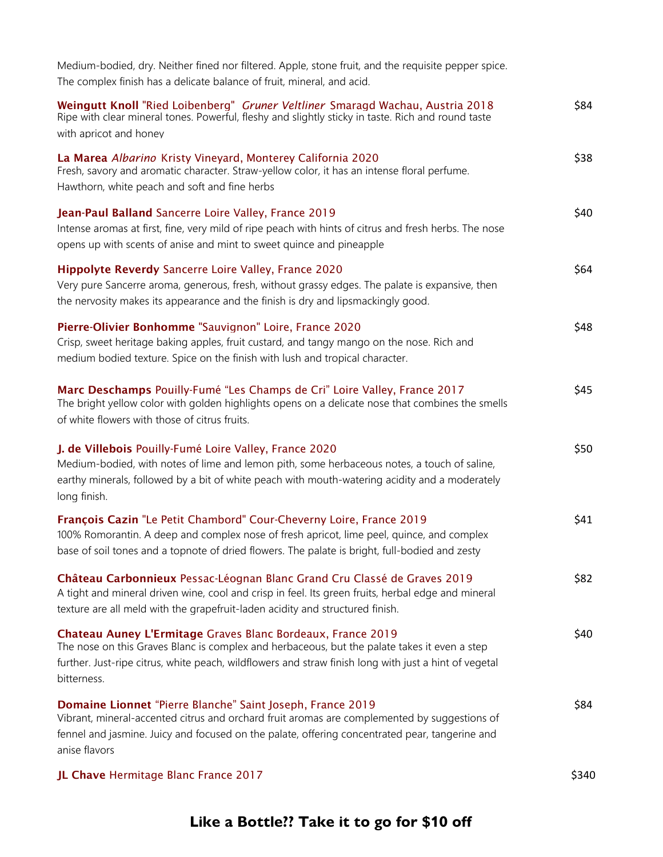| Medium-bodied, dry. Neither fined nor filtered. Apple, stone fruit, and the requisite pepper spice.<br>The complex finish has a delicate balance of fruit, mineral, and acid.                                                                                                       |       |
|-------------------------------------------------------------------------------------------------------------------------------------------------------------------------------------------------------------------------------------------------------------------------------------|-------|
| Weingutt Knoll "Ried Loibenberg" Gruner Veltliner Smaragd Wachau, Austria 2018<br>Ripe with clear mineral tones. Powerful, fleshy and slightly sticky in taste. Rich and round taste                                                                                                | \$84  |
| with apricot and honey                                                                                                                                                                                                                                                              |       |
| La Marea Albarino Kristy Vineyard, Monterey California 2020<br>Fresh, savory and aromatic character. Straw-yellow color, it has an intense floral perfume.<br>Hawthorn, white peach and soft and fine herbs                                                                         | \$38  |
| Jean-Paul Balland Sancerre Loire Valley, France 2019<br>Intense aromas at first, fine, very mild of ripe peach with hints of citrus and fresh herbs. The nose<br>opens up with scents of anise and mint to sweet quince and pineapple                                               | \$40  |
| Hippolyte Reverdy Sancerre Loire Valley, France 2020<br>Very pure Sancerre aroma, generous, fresh, without grassy edges. The palate is expansive, then<br>the nervosity makes its appearance and the finish is dry and lipsmackingly good.                                          | \$64  |
| Pierre-Olivier Bonhomme "Sauvignon" Loire, France 2020<br>Crisp, sweet heritage baking apples, fruit custard, and tangy mango on the nose. Rich and<br>medium bodied texture. Spice on the finish with lush and tropical character.                                                 | \$48  |
| Marc Deschamps Pouilly-Fumé "Les Champs de Cri" Loire Valley, France 2017<br>The bright yellow color with golden highlights opens on a delicate nose that combines the smells<br>of white flowers with those of citrus fruits.                                                      | \$45  |
| J. de Villebois Pouilly-Fumé Loire Valley, France 2020<br>Medium-bodied, with notes of lime and lemon pith, some herbaceous notes, a touch of saline,<br>earthy minerals, followed by a bit of white peach with mouth-watering acidity and a moderately<br>long finish.             | \$50  |
| François Cazin "Le Petit Chambord" Cour-Cheverny Loire, France 2019<br>100% Romorantin. A deep and complex nose of fresh apricot, lime peel, quince, and complex<br>base of soil tones and a topnote of dried flowers. The palate is bright, full-bodied and zesty                  | \$41  |
| Château Carbonnieux Pessac-Léognan Blanc Grand Cru Classé de Graves 2019<br>A tight and mineral driven wine, cool and crisp in feel. Its green fruits, herbal edge and mineral<br>texture are all meld with the grapefruit-laden acidity and structured finish.                     | \$82  |
| Chateau Auney L'Ermitage Graves Blanc Bordeaux, France 2019<br>The nose on this Graves Blanc is complex and herbaceous, but the palate takes it even a step<br>further. Just-ripe citrus, white peach, wildflowers and straw finish long with just a hint of vegetal<br>bitterness. | \$40  |
| Domaine Lionnet "Pierre Blanche" Saint Joseph, France 2019<br>Vibrant, mineral-accented citrus and orchard fruit aromas are complemented by suggestions of<br>fennel and jasmine. Juicy and focused on the palate, offering concentrated pear, tangerine and<br>anise flavors       | \$84  |
| JL Chave Hermitage Blanc France 2017                                                                                                                                                                                                                                                | \$340 |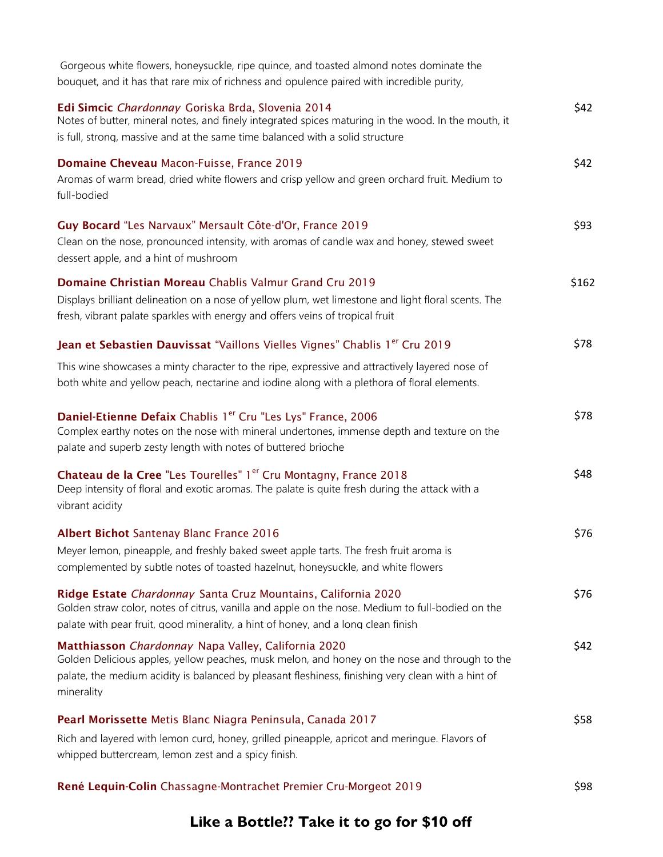| Gorgeous white flowers, honeysuckle, ripe quince, and toasted almond notes dominate the<br>bouquet, and it has that rare mix of richness and opulence paired with incredible purity,                                                                                     |       |
|--------------------------------------------------------------------------------------------------------------------------------------------------------------------------------------------------------------------------------------------------------------------------|-------|
| Edi Simcic Chardonnay Goriska Brda, Slovenia 2014<br>Notes of butter, mineral notes, and finely integrated spices maturing in the wood. In the mouth, it<br>is full, strong, massive and at the same time balanced with a solid structure                                | \$42  |
| Domaine Cheveau Macon-Fuisse, France 2019<br>Aromas of warm bread, dried white flowers and crisp yellow and green orchard fruit. Medium to<br>full-bodied                                                                                                                | \$42  |
| Guy Bocard "Les Narvaux" Mersault Côte-d'Or, France 2019<br>Clean on the nose, pronounced intensity, with aromas of candle wax and honey, stewed sweet<br>dessert apple, and a hint of mushroom                                                                          | \$93  |
| Domaine Christian Moreau Chablis Valmur Grand Cru 2019<br>Displays brilliant delineation on a nose of yellow plum, wet limestone and light floral scents. The<br>fresh, vibrant palate sparkles with energy and offers veins of tropical fruit                           | \$162 |
| Jean et Sebastien Dauvissat "Vaillons Vielles Vignes" Chablis 1 <sup>er</sup> Cru 2019                                                                                                                                                                                   | \$78  |
| This wine showcases a minty character to the ripe, expressive and attractively layered nose of<br>both white and yellow peach, nectarine and iodine along with a plethora of floral elements.                                                                            |       |
| Daniel-Etienne Defaix Chablis 1 <sup>er</sup> Cru "Les Lys" France, 2006<br>Complex earthy notes on the nose with mineral undertones, immense depth and texture on the<br>palate and superb zesty length with notes of buttered brioche                                  | \$78  |
| Chateau de la Cree "Les Tourelles" 1 <sup>er</sup> Cru Montagny, France 2018<br>Deep intensity of floral and exotic aromas. The palate is quite fresh during the attack with a<br>vibrant acidity                                                                        | \$48  |
| Albert Bichot Santenay Blanc France 2016                                                                                                                                                                                                                                 | \$76  |
| Meyer lemon, pineapple, and freshly baked sweet apple tarts. The fresh fruit aroma is<br>complemented by subtle notes of toasted hazelnut, honeysuckle, and white flowers                                                                                                |       |
| Ridge Estate Chardonnay Santa Cruz Mountains, California 2020<br>Golden straw color, notes of citrus, vanilla and apple on the nose. Medium to full-bodied on the<br>palate with pear fruit, good minerality, a hint of honey, and a long clean finish                   | \$76  |
| Matthiasson Chardonnay Napa Valley, California 2020<br>Golden Delicious apples, yellow peaches, musk melon, and honey on the nose and through to the<br>palate, the medium acidity is balanced by pleasant fleshiness, finishing very clean with a hint of<br>minerality | \$42  |
| Pearl Morissette Metis Blanc Niagra Peninsula, Canada 2017                                                                                                                                                                                                               | \$58  |
| Rich and layered with lemon curd, honey, grilled pineapple, apricot and meringue. Flavors of<br>whipped buttercream, lemon zest and a spicy finish.                                                                                                                      |       |
| René Lequin-Colin Chassagne-Montrachet Premier Cru-Morgeot 2019                                                                                                                                                                                                          | \$98  |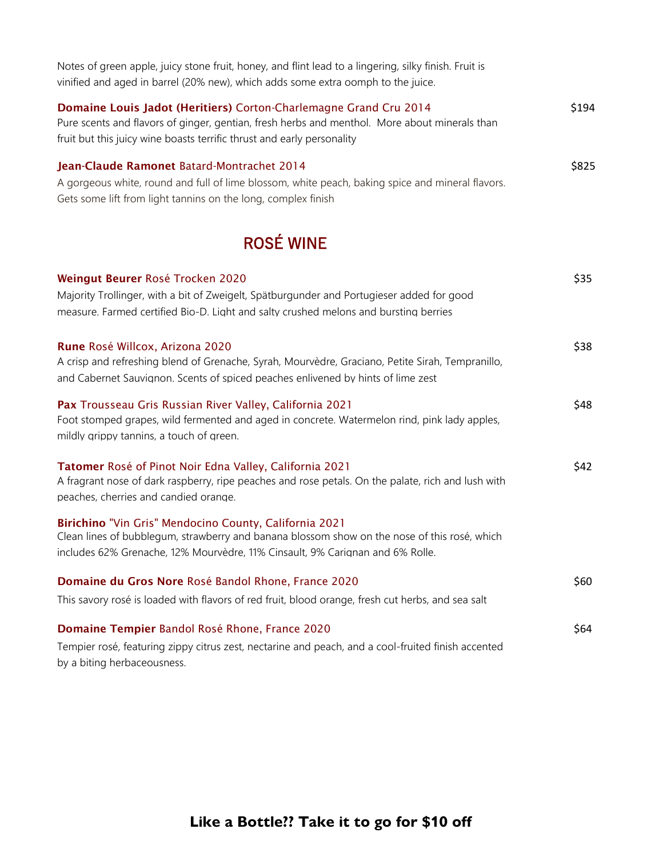| Notes of green apple, juicy stone fruit, honey, and flint lead to a lingering, silky finish. Fruit is<br>vinified and aged in barrel (20% new), which adds some extra oomph to the juice.                                                    |       |
|----------------------------------------------------------------------------------------------------------------------------------------------------------------------------------------------------------------------------------------------|-------|
| Domaine Louis Jadot (Heritiers) Corton-Charlemagne Grand Cru 2014<br>Pure scents and flavors of ginger, gentian, fresh herbs and menthol. More about minerals than<br>fruit but this juicy wine boasts terrific thrust and early personality | \$194 |
| Jean-Claude Ramonet Batard-Montrachet 2014<br>A gorgeous white, round and full of lime blossom, white peach, baking spice and mineral flavors.<br>Gets some lift from light tannins on the long, complex finish                              | \$825 |
| <b>ROSÉ WINE</b>                                                                                                                                                                                                                             |       |
| Weingut Beurer Rosé Trocken 2020<br>Majority Trollinger, with a bit of Zweigelt, Spätburgunder and Portugieser added for good<br>measure. Farmed certified Bio-D. Light and salty crushed melons and bursting berries                        | \$35  |
| Rune Rosé Willcox, Arizona 2020<br>A crisp and refreshing blend of Grenache, Syrah, Mourvèdre, Graciano, Petite Sirah, Tempranillo,<br>and Cabernet Sauvignon. Scents of spiced peaches enlivened by hints of lime zest                      | \$38  |
| Pax Trousseau Gris Russian River Valley, California 2021<br>Foot stomped grapes, wild fermented and aged in concrete. Watermelon rind, pink lady apples,<br>mildly grippy tannins, a touch of green.                                         | \$48  |
| Tatomer Rosé of Pinot Noir Edna Valley, California 2021<br>A fragrant nose of dark raspberry, ripe peaches and rose petals. On the palate, rich and lush with<br>peaches, cherries and candied orange.                                       | \$42  |
| Birichino "Vin Gris" Mendocino County, California 2021<br>Clean lines of bubblegum, strawberry and banana blossom show on the nose of this rosé, which<br>includes 62% Grenache, 12% Mourvèdre, 11% Cinsault, 9% Carignan and 6% Rolle.      |       |
| Domaine du Gros Nore Rosé Bandol Rhone, France 2020                                                                                                                                                                                          | \$60  |
| This savory rosé is loaded with flavors of red fruit, blood orange, fresh cut herbs, and sea salt                                                                                                                                            |       |
| Domaine Tempier Bandol Rosé Rhone, France 2020                                                                                                                                                                                               | \$64  |
| Tempier rosé, featuring zippy citrus zest, nectarine and peach, and a cool-fruited finish accented                                                                                                                                           |       |

by a biting herbaceousness.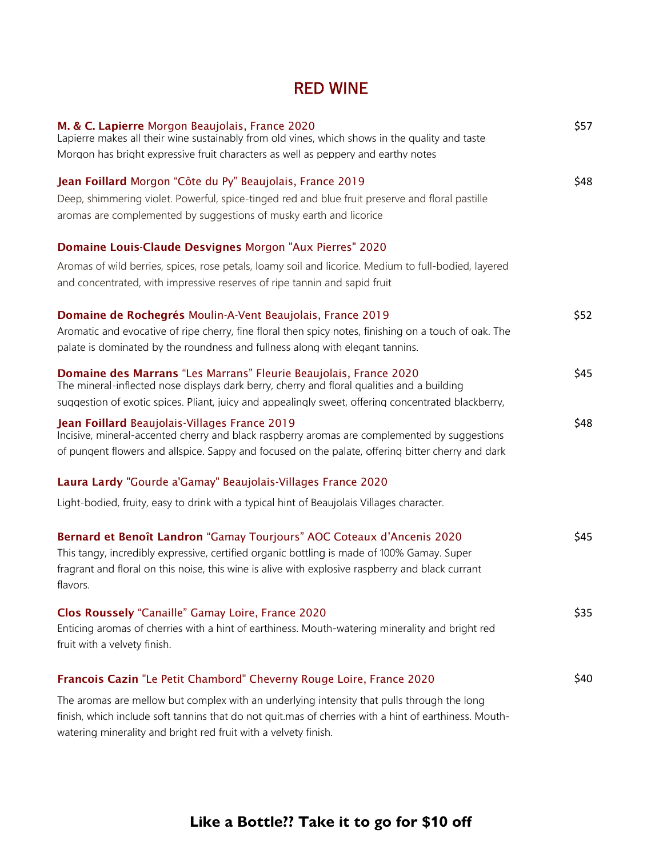#### RED WINE

| M. & C. Lapierre Morgon Beaujolais, France 2020<br>Lapierre makes all their wine sustainably from old vines, which shows in the quality and taste               | \$57 |
|-----------------------------------------------------------------------------------------------------------------------------------------------------------------|------|
| Morgon has bright expressive fruit characters as well as peppery and earthy notes                                                                               |      |
| Jean Foillard Morgon "Côte du Py" Beaujolais, France 2019                                                                                                       | \$48 |
| Deep, shimmering violet. Powerful, spice-tinged red and blue fruit preserve and floral pastille                                                                 |      |
| aromas are complemented by suggestions of musky earth and licorice                                                                                              |      |
| Domaine Louis-Claude Desvignes Morgon "Aux Pierres" 2020                                                                                                        |      |
| Aromas of wild berries, spices, rose petals, loamy soil and licorice. Medium to full-bodied, layered                                                            |      |
| and concentrated, with impressive reserves of ripe tannin and sapid fruit                                                                                       |      |
| Domaine de Rochegrés Moulin-A-Vent Beaujolais, France 2019                                                                                                      | \$52 |
| Aromatic and evocative of ripe cherry, fine floral then spicy notes, finishing on a touch of oak. The                                                           |      |
| palate is dominated by the roundness and fullness along with elegant tannins.                                                                                   |      |
| Domaine des Marrans "Les Marrans" Fleurie Beaujolais, France 2020<br>The mineral-inflected nose displays dark berry, cherry and floral qualities and a building | \$45 |
| suggestion of exotic spices. Pliant, juicy and appealingly sweet, offering concentrated blackberry,                                                             |      |
| Jean Foillard Beaujolais-Villages France 2019                                                                                                                   | \$48 |
| Incisive, mineral-accented cherry and black raspberry aromas are complemented by suggestions                                                                    |      |
| of pungent flowers and allspice. Sappy and focused on the palate, offering bitter cherry and dark                                                               |      |
| Laura Lardy "Gourde a'Gamay" Beaujolais-Villages France 2020                                                                                                    |      |
| Light-bodied, fruity, easy to drink with a typical hint of Beaujolais Villages character.                                                                       |      |
| Bernard et Benoît Landron "Gamay Tourjours" AOC Coteaux d'Ancenis 2020                                                                                          | \$45 |
| This tangy, incredibly expressive, certified organic bottling is made of 100% Gamay. Super                                                                      |      |
| fragrant and floral on this noise, this wine is alive with explosive raspberry and black currant<br>flavors.                                                    |      |
|                                                                                                                                                                 |      |
| Clos Roussely "Canaille" Gamay Loire, France 2020                                                                                                               | \$35 |
| Enticing aromas of cherries with a hint of earthiness. Mouth-watering minerality and bright red                                                                 |      |
| fruit with a velvety finish.                                                                                                                                    |      |
| Francois Cazin "Le Petit Chambord" Cheverny Rouge Loire, France 2020                                                                                            | \$40 |
| The aromas are mellow but complex with an underlying intensity that pulls through the long                                                                      |      |
| finish, which include soft tannins that do not quit.mas of cherries with a hint of earthiness. Mouth-                                                           |      |
| watering minerality and bright red fruit with a velvety finish.                                                                                                 |      |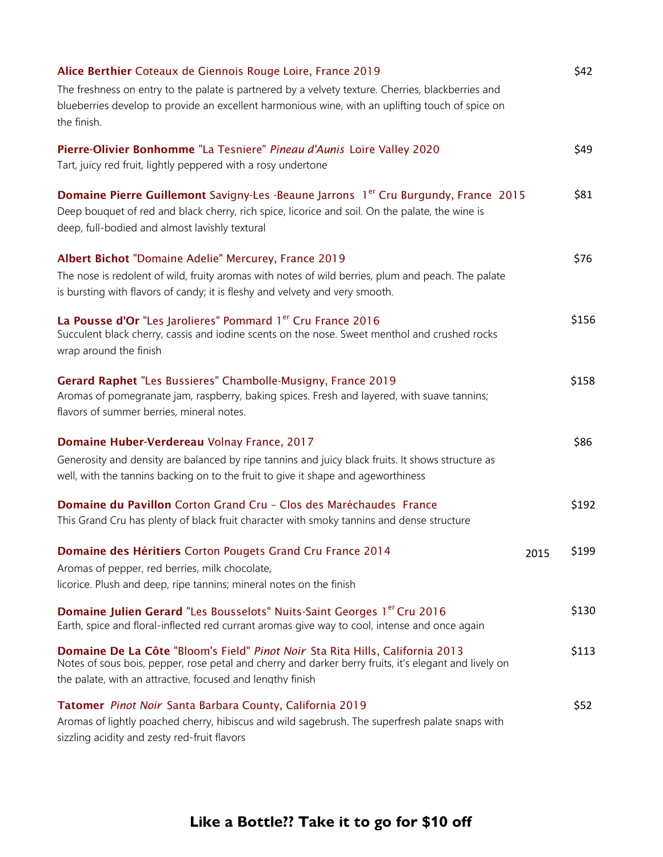| Alice Berthier Coteaux de Giennois Rouge Loire, France 2019                                                                                                                                                                                                 | \$42  |
|-------------------------------------------------------------------------------------------------------------------------------------------------------------------------------------------------------------------------------------------------------------|-------|
| The freshness on entry to the palate is partnered by a velvety texture. Cherries, blackberries and                                                                                                                                                          |       |
| blueberries develop to provide an excellent harmonious wine, with an uplifting touch of spice on<br>the finish.                                                                                                                                             |       |
| Pierre-Olivier Bonhomme "La Tesniere" Pineau d'Aunis Loire Valley 2020<br>Tart, juicy red fruit, lightly peppered with a rosy undertone                                                                                                                     | \$49  |
| <b>Domaine Pierre Guillemont</b> Savigny-Les -Beaune Jarrons 1 <sup>er</sup> Cru Burgundy, France 2015<br>Deep bouquet of red and black cherry, rich spice, licorice and soil. On the palate, the wine is<br>deep, full-bodied and almost lavishly textural | \$81  |
| Albert Bichot "Domaine Adelie" Mercurey, France 2019                                                                                                                                                                                                        | \$76  |
| The nose is redolent of wild, fruity aromas with notes of wild berries, plum and peach. The palate<br>is bursting with flavors of candy; it is fleshy and velvety and very smooth.                                                                          |       |
| La Pousse d'Or "Les Jarolieres" Pommard 1 <sup>er</sup> Cru France 2016<br>Succulent black cherry, cassis and iodine scents on the nose. Sweet menthol and crushed rocks<br>wrap around the finish                                                          | \$156 |
| Gerard Raphet "Les Bussieres" Chambolle-Musigny, France 2019<br>Aromas of pomegranate jam, raspberry, baking spices. Fresh and layered, with suave tannins;<br>flavors of summer berries, mineral notes.                                                    | \$158 |
| Domaine Huber-Verdereau Volnay France, 2017                                                                                                                                                                                                                 | \$86  |
| Generosity and density are balanced by ripe tannins and juicy black fruits. It shows structure as<br>well, with the tannins backing on to the fruit to give it shape and ageworthiness                                                                      |       |
| Domaine du Pavillon Corton Grand Cru - Clos des Maréchaudes France<br>This Grand Cru has plenty of black fruit character with smoky tannins and dense structure                                                                                             | \$192 |
| Domaine des Héritiers Corton Pougets Grand Cru France 2014<br>2015<br>Aromas of pepper, red berries, milk chocolate,<br>licorice. Plush and deep, ripe tannins; mineral notes on the finish                                                                 | \$199 |
| Domaine Julien Gerard "Les Bousselots" Nuits-Saint Georges 1 <sup>er</sup> Cru 2016<br>Earth, spice and floral-inflected red currant aromas give way to cool, intense and once again                                                                        | \$130 |
| Domaine De La Côte "Bloom's Field" Pinot Noir Sta Rita Hills, California 2013<br>Notes of sous bois, pepper, rose petal and cherry and darker berry fruits, it's elegant and lively on<br>the palate, with an attractive, focused and lengthy finish        | \$113 |
| Tatomer Pinot Noir Santa Barbara County, California 2019<br>Aromas of lightly poached cherry, hibiscus and wild sagebrush. The superfresh palate snaps with<br>sizzling acidity and zesty red-fruit flavors                                                 | \$52  |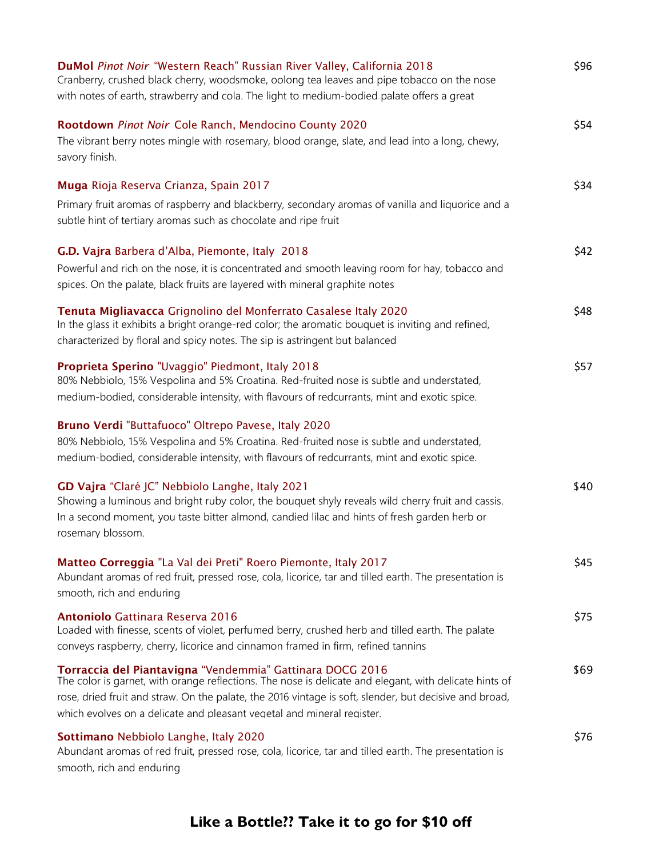| DuMol Pinot Noir "Western Reach" Russian River Valley, California 2018<br>Cranberry, crushed black cherry, woodsmoke, oolong tea leaves and pipe tobacco on the nose<br>with notes of earth, strawberry and cola. The light to medium-bodied palate offers a great            | \$96 |
|-------------------------------------------------------------------------------------------------------------------------------------------------------------------------------------------------------------------------------------------------------------------------------|------|
| Rootdown Pinot Noir Cole Ranch, Mendocino County 2020<br>The vibrant berry notes mingle with rosemary, blood orange, slate, and lead into a long, chewy,<br>savory finish.                                                                                                    | \$54 |
| Muga Rioja Reserva Crianza, Spain 2017<br>Primary fruit aromas of raspberry and blackberry, secondary aromas of vanilla and liquorice and a                                                                                                                                   | \$34 |
| subtle hint of tertiary aromas such as chocolate and ripe fruit<br>G.D. Vajra Barbera d'Alba, Piemonte, Italy 2018                                                                                                                                                            | \$42 |
| Powerful and rich on the nose, it is concentrated and smooth leaving room for hay, tobacco and<br>spices. On the palate, black fruits are layered with mineral graphite notes                                                                                                 |      |
| Tenuta Migliavacca Grignolino del Monferrato Casalese Italy 2020<br>In the glass it exhibits a bright orange-red color; the aromatic bouquet is inviting and refined,<br>characterized by floral and spicy notes. The sip is astringent but balanced                          | \$48 |
| Proprieta Sperino "Uvaggio" Piedmont, Italy 2018<br>80% Nebbiolo, 15% Vespolina and 5% Croatina. Red-fruited nose is subtle and understated,<br>medium-bodied, considerable intensity, with flavours of redcurrants, mint and exotic spice.                                   | \$57 |
| Bruno Verdi "Buttafuoco" Oltrepo Pavese, Italy 2020<br>80% Nebbiolo, 15% Vespolina and 5% Croatina. Red-fruited nose is subtle and understated,<br>medium-bodied, considerable intensity, with flavours of redcurrants, mint and exotic spice.                                |      |
| GD Vajra "Claré JC" Nebbiolo Langhe, Italy 2021<br>Showing a luminous and bright ruby color, the bouquet shyly reveals wild cherry fruit and cassis.<br>In a second moment, you taste bitter almond, candied lilac and hints of fresh garden herb or<br>rosemary blossom.     | \$40 |
| Matteo Correggia "La Val dei Preti" Roero Piemonte, Italy 2017<br>Abundant aromas of red fruit, pressed rose, cola, licorice, tar and tilled earth. The presentation is<br>smooth, rich and enduring                                                                          | \$45 |
| Antoniolo Gattinara Reserva 2016<br>Loaded with finesse, scents of violet, perfumed berry, crushed herb and tilled earth. The palate                                                                                                                                          | \$75 |
| conveys raspberry, cherry, licorice and cinnamon framed in firm, refined tannins                                                                                                                                                                                              |      |
| Torraccia del Piantavigna "Vendemmia" Gattinara DOCG 2016<br>The color is garnet, with orange reflections. The nose is delicate and elegant, with delicate hints of<br>rose, dried fruit and straw. On the palate, the 2016 vintage is soft, slender, but decisive and broad, | \$69 |
| which evolves on a delicate and pleasant vegetal and mineral register.                                                                                                                                                                                                        |      |
| Sottimano Nebbiolo Langhe, Italy 2020<br>Abundant aromas of red fruit, pressed rose, cola, licorice, tar and tilled earth. The presentation is<br>smooth, rich and enduring                                                                                                   | \$76 |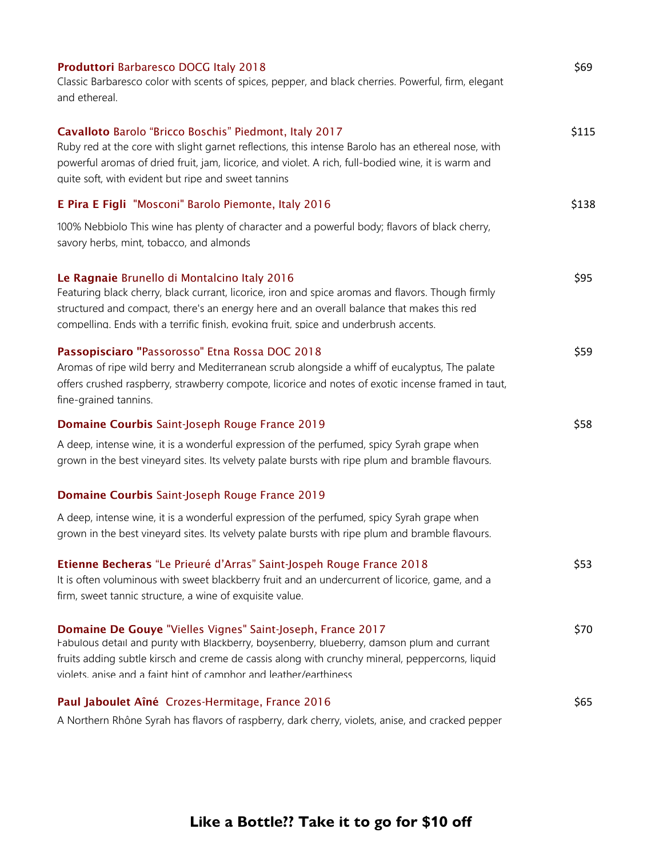| Produttori Barbaresco DOCG Italy 2018<br>Classic Barbaresco color with scents of spices, pepper, and black cherries. Powerful, firm, elegant<br>and ethereal.                                                                                                                                                                           | \$69  |
|-----------------------------------------------------------------------------------------------------------------------------------------------------------------------------------------------------------------------------------------------------------------------------------------------------------------------------------------|-------|
| Cavalloto Barolo "Bricco Boschis" Piedmont, Italy 2017<br>Ruby red at the core with slight garnet reflections, this intense Barolo has an ethereal nose, with<br>powerful aromas of dried fruit, jam, licorice, and violet. A rich, full-bodied wine, it is warm and<br>quite soft, with evident but ripe and sweet tannins             | \$115 |
| E Pira E Figli "Mosconi" Barolo Piemonte, Italy 2016                                                                                                                                                                                                                                                                                    | \$138 |
| 100% Nebbiolo This wine has plenty of character and a powerful body; flavors of black cherry,<br>savory herbs, mint, tobacco, and almonds                                                                                                                                                                                               |       |
| Le Ragnaie Brunello di Montalcino Italy 2016<br>Featuring black cherry, black currant, licorice, iron and spice aromas and flavors. Though firmly<br>structured and compact, there's an energy here and an overall balance that makes this red<br>compellina. Ends with a terrific finish, evokina fruit, spice and underbrush accents. | \$95  |
| Passopisciaro "Passorosso" Etna Rossa DOC 2018<br>Aromas of ripe wild berry and Mediterranean scrub alongside a whiff of eucalyptus, The palate<br>offers crushed raspberry, strawberry compote, licorice and notes of exotic incense framed in taut,<br>fine-grained tannins.                                                          | \$59  |
| Domaine Courbis Saint-Joseph Rouge France 2019                                                                                                                                                                                                                                                                                          | \$58  |
| A deep, intense wine, it is a wonderful expression of the perfumed, spicy Syrah grape when<br>grown in the best vineyard sites. Its velvety palate bursts with ripe plum and bramble flavours.                                                                                                                                          |       |
| Domaine Courbis Saint-Joseph Rouge France 2019                                                                                                                                                                                                                                                                                          |       |
| A deep, intense wine, it is a wonderful expression of the perfumed, spicy Syrah grape when<br>grown in the best vineyard sites. Its velvety palate bursts with ripe plum and bramble flavours.                                                                                                                                          |       |
| Etienne Becheras "Le Prieuré d'Arras" Saint-Jospeh Rouge France 2018<br>It is often voluminous with sweet blackberry fruit and an undercurrent of licorice, game, and a<br>firm, sweet tannic structure, a wine of exquisite value.                                                                                                     | \$53  |
| Domaine De Gouye "Vielles Vignes" Saint-Joseph, France 2017<br>Fabulous detail and purity with Blackberry, boysenberry, blueberry, damson plum and currant<br>fruits adding subtle kirsch and creme de cassis along with crunchy mineral, peppercorns, liquid<br>violets anise and a faint hint of camphor and leather/earthiness       | \$70  |
| Paul Jaboulet Aîné Crozes-Hermitage, France 2016                                                                                                                                                                                                                                                                                        | \$65  |
| A Northern Rhône Syrah has flavors of raspberry, dark cherry, violets, anise, and cracked pepper                                                                                                                                                                                                                                        |       |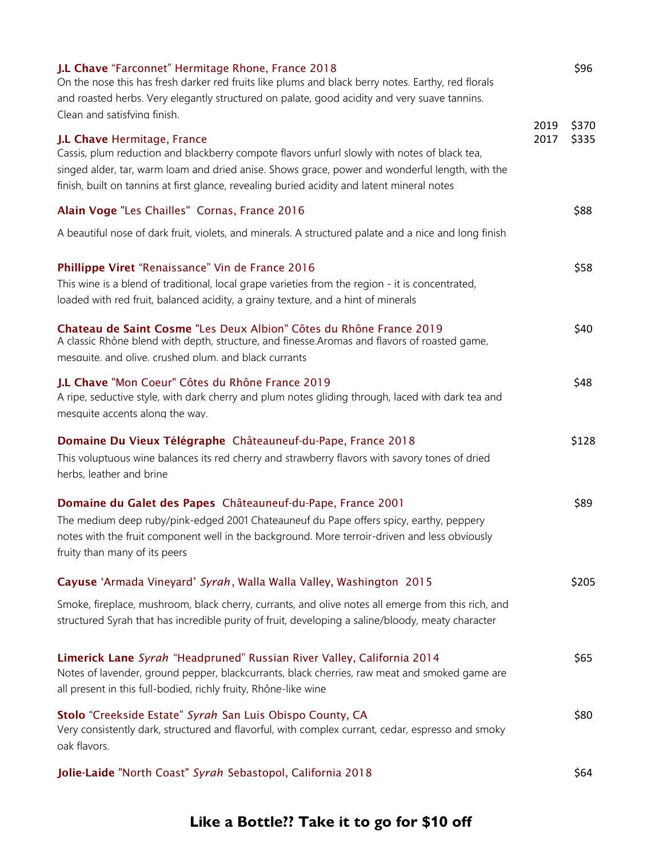| J.L Chave "Farconnet" Hermitage Rhone, France 2018<br>On the nose this has fresh darker red fruits like plums and black berry notes. Earthy, red florals<br>and roasted herbs. Very elegantly structured on palate, good acidity and very suave tannins.                                                                      |      | \$96  |
|-------------------------------------------------------------------------------------------------------------------------------------------------------------------------------------------------------------------------------------------------------------------------------------------------------------------------------|------|-------|
| Clean and satisfying finish.                                                                                                                                                                                                                                                                                                  | 2019 | \$370 |
| J.L Chave Hermitage, France<br>Cassis, plum reduction and blackberry compote flavors unfurl slowly with notes of black tea,<br>singed alder, tar, warm loam and dried anise. Shows grace, power and wonderful length, with the<br>finish, built on tannins at first glance, revealing buried acidity and latent mineral notes | 2017 | \$335 |
| Alain Voge "Les Chailles" Cornas, France 2016                                                                                                                                                                                                                                                                                 |      | \$88  |
| A beautiful nose of dark fruit, violets, and minerals. A structured palate and a nice and long finish                                                                                                                                                                                                                         |      |       |
| Phillippe Viret "Renaissance" Vin de France 2016<br>This wine is a blend of traditional, local grape varieties from the region - it is concentrated,<br>loaded with red fruit, balanced acidity, a grainy texture, and a hint of minerals                                                                                     |      | \$58  |
| Chateau de Saint Cosme "Les Deux Albion" Côtes du Rhône France 2019<br>A classic Rhône blend with depth, structure, and finesse. Aromas and flavors of roasted game,<br>mesquite, and olive, crushed plum, and black currants                                                                                                 |      | \$40  |
| J.L Chave "Mon Coeur" Côtes du Rhône France 2019<br>A ripe, seductive style, with dark cherry and plum notes gliding through, laced with dark tea and<br>mesquite accents along the way.                                                                                                                                      |      | \$48  |
| Domaine Du Vieux Télégraphe Châteauneuf-du-Pape, France 2018<br>This voluptuous wine balances its red cherry and strawberry flavors with savory tones of dried<br>herbs, leather and brine                                                                                                                                    |      | \$128 |
| Domaine du Galet des Papes Châteauneuf-du-Pape, France 2001<br>The medium deep ruby/pink-edged 2001 Chateauneuf du Pape offers spicy, earthy, peppery<br>notes with the fruit component well in the background. More terroir-driven and less obviously<br>fruity than many of its peers                                       |      | \$89  |
| Cayuse 'Armada Vineyard' Syrah, Walla Walla Valley, Washington 2015                                                                                                                                                                                                                                                           |      | \$205 |
| Smoke, fireplace, mushroom, black cherry, currants, and olive notes all emerge from this rich, and<br>structured Syrah that has incredible purity of fruit, developing a saline/bloody, meaty character                                                                                                                       |      |       |
| Limerick Lane Syrah "Headpruned" Russian River Valley, California 2014<br>Notes of lavender, ground pepper, blackcurrants, black cherries, raw meat and smoked game are<br>all present in this full-bodied, richly fruity, Rhône-like wine                                                                                    |      | \$65  |
| Stolo "Creekside Estate" Syrah San Luis Obispo County, CA<br>Very consistently dark, structured and flavorful, with complex currant, cedar, espresso and smoky<br>oak flavors.                                                                                                                                                |      | \$80  |
| Jolie-Laide "North Coast" Syrah Sebastopol, California 2018                                                                                                                                                                                                                                                                   |      | \$64  |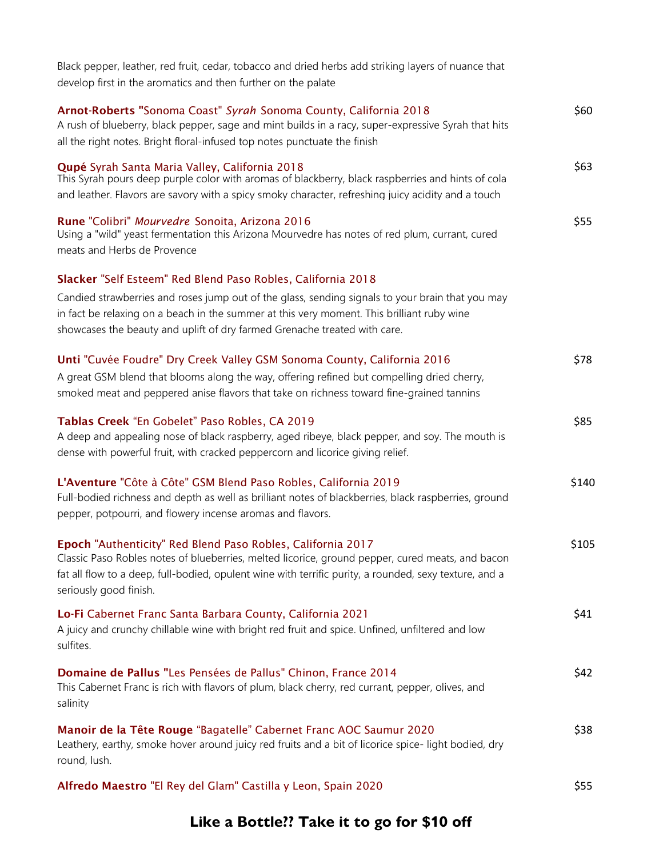| Black pepper, leather, red fruit, cedar, tobacco and dried herbs add striking layers of nuance that<br>develop first in the aromatics and then further on the palate                                                                                                                                                                        |       |
|---------------------------------------------------------------------------------------------------------------------------------------------------------------------------------------------------------------------------------------------------------------------------------------------------------------------------------------------|-------|
| Arnot-Roberts "Sonoma Coast" Syrah Sonoma County, California 2018<br>A rush of blueberry, black pepper, sage and mint builds in a racy, super-expressive Syrah that hits<br>all the right notes. Bright floral-infused top notes punctuate the finish                                                                                       | \$60  |
| Qupé Syrah Santa Maria Valley, California 2018<br>This Syrah pours deep purple color with aromas of blackberry, black raspberries and hints of cola<br>and leather. Flavors are savory with a spicy smoky character, refreshing juicy acidity and a touch                                                                                   | \$63  |
| Rune "Colibri" Mourvedre Sonoita, Arizona 2016<br>Using a "wild" yeast fermentation this Arizona Mourvedre has notes of red plum, currant, cured<br>meats and Herbs de Provence                                                                                                                                                             | \$55  |
| Slacker "Self Esteem" Red Blend Paso Robles, California 2018<br>Candied strawberries and roses jump out of the glass, sending signals to your brain that you may<br>in fact be relaxing on a beach in the summer at this very moment. This brilliant ruby wine<br>showcases the beauty and uplift of dry farmed Grenache treated with care. |       |
| Unti "Cuvée Foudre" Dry Creek Valley GSM Sonoma County, California 2016<br>A great GSM blend that blooms along the way, offering refined but compelling dried cherry,<br>smoked meat and peppered anise flavors that take on richness toward fine-grained tannins                                                                           | \$78  |
| Tablas Creek "En Gobelet" Paso Robles, CA 2019<br>A deep and appealing nose of black raspberry, aged ribeye, black pepper, and soy. The mouth is<br>dense with powerful fruit, with cracked peppercorn and licorice giving relief.                                                                                                          | \$85  |
| L'Aventure "Côte à Côte" GSM Blend Paso Robles, California 2019<br>Full-bodied richness and depth as well as brilliant notes of blackberries, black raspberries, ground<br>pepper, potpourri, and flowery incense aromas and flavors.                                                                                                       | \$140 |
| Epoch "Authenticity" Red Blend Paso Robles, California 2017<br>Classic Paso Robles notes of blueberries, melted licorice, ground pepper, cured meats, and bacon<br>fat all flow to a deep, full-bodied, opulent wine with terrific purity, a rounded, sexy texture, and a<br>seriously good finish.                                         | \$105 |
| Lo-Fi Cabernet Franc Santa Barbara County, California 2021<br>A juicy and crunchy chillable wine with bright red fruit and spice. Unfined, unfiltered and low<br>sulfites.                                                                                                                                                                  | \$41  |
| Domaine de Pallus "Les Pensées de Pallus" Chinon, France 2014<br>This Cabernet Franc is rich with flavors of plum, black cherry, red currant, pepper, olives, and<br>salinity                                                                                                                                                               | \$42  |
| Manoir de la Tête Rouge "Bagatelle" Cabernet Franc AOC Saumur 2020<br>Leathery, earthy, smoke hover around juicy red fruits and a bit of licorice spice- light bodied, dry<br>round, lush.                                                                                                                                                  | \$38  |
| Alfredo Maestro "El Rey del Glam" Castilla y Leon, Spain 2020                                                                                                                                                                                                                                                                               | \$55  |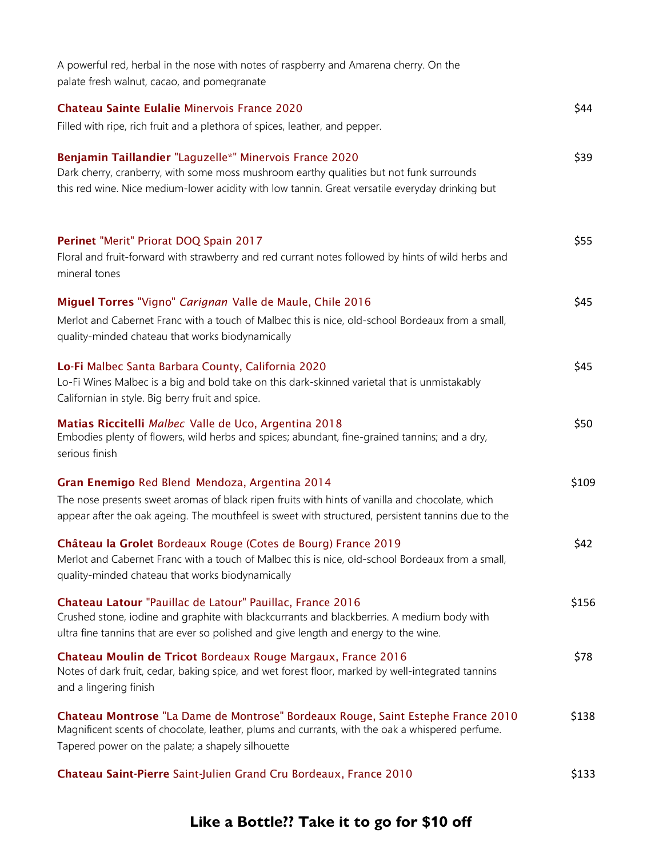| A powerful red, herbal in the nose with notes of raspberry and Amarena cherry. On the<br>palate fresh walnut, cacao, and pomegranate                                                                                                                    |       |
|---------------------------------------------------------------------------------------------------------------------------------------------------------------------------------------------------------------------------------------------------------|-------|
| <b>Chateau Sainte Eulalie Minervois France 2020</b><br>Filled with ripe, rich fruit and a plethora of spices, leather, and pepper.                                                                                                                      | \$44  |
| Benjamin Taillandier "Laguzelle*" Minervois France 2020<br>Dark cherry, cranberry, with some moss mushroom earthy qualities but not funk surrounds<br>this red wine. Nice medium-lower acidity with low tannin. Great versatile everyday drinking but   | \$39  |
| Perinet "Merit" Priorat DOQ Spain 2017<br>Floral and fruit-forward with strawberry and red currant notes followed by hints of wild herbs and<br>mineral tones                                                                                           | \$55  |
| Miguel Torres "Vigno" Carignan Valle de Maule, Chile 2016<br>Merlot and Cabernet Franc with a touch of Malbec this is nice, old-school Bordeaux from a small,<br>quality-minded chateau that works biodynamically                                       | \$45  |
| Lo-Fi Malbec Santa Barbara County, California 2020<br>Lo-Fi Wines Malbec is a big and bold take on this dark-skinned varietal that is unmistakably<br>Californian in style. Big berry fruit and spice.                                                  | \$45  |
| Matias Riccitelli Malbec Valle de Uco, Argentina 2018<br>Embodies plenty of flowers, wild herbs and spices; abundant, fine-grained tannins; and a dry,<br>serious finish                                                                                | \$50  |
| Gran Enemigo Red Blend Mendoza, Argentina 2014<br>The nose presents sweet aromas of black ripen fruits with hints of vanilla and chocolate, which<br>appear after the oak ageing. The mouthfeel is sweet with structured, persistent tannins due to the | \$109 |
| Château la Grolet Bordeaux Rouge (Cotes de Bourg) France 2019<br>Merlot and Cabernet Franc with a touch of Malbec this is nice, old-school Bordeaux from a small,<br>quality-minded chateau that works biodynamically                                   | \$42  |
| Chateau Latour "Pauillac de Latour" Pauillac, France 2016<br>Crushed stone, iodine and graphite with blackcurrants and blackberries. A medium body with<br>ultra fine tannins that are ever so polished and give length and energy to the wine.         | \$156 |
| Chateau Moulin de Tricot Bordeaux Rouge Margaux, France 2016<br>Notes of dark fruit, cedar, baking spice, and wet forest floor, marked by well-integrated tannins<br>and a lingering finish                                                             | \$78  |
| Chateau Montrose "La Dame de Montrose" Bordeaux Rouge, Saint Estephe France 2010<br>Magnificent scents of chocolate, leather, plums and currants, with the oak a whispered perfume.<br>Tapered power on the palate; a shapely silhouette                | \$138 |
| Chateau Saint-Pierre Saint-Julien Grand Cru Bordeaux, France 2010                                                                                                                                                                                       | \$133 |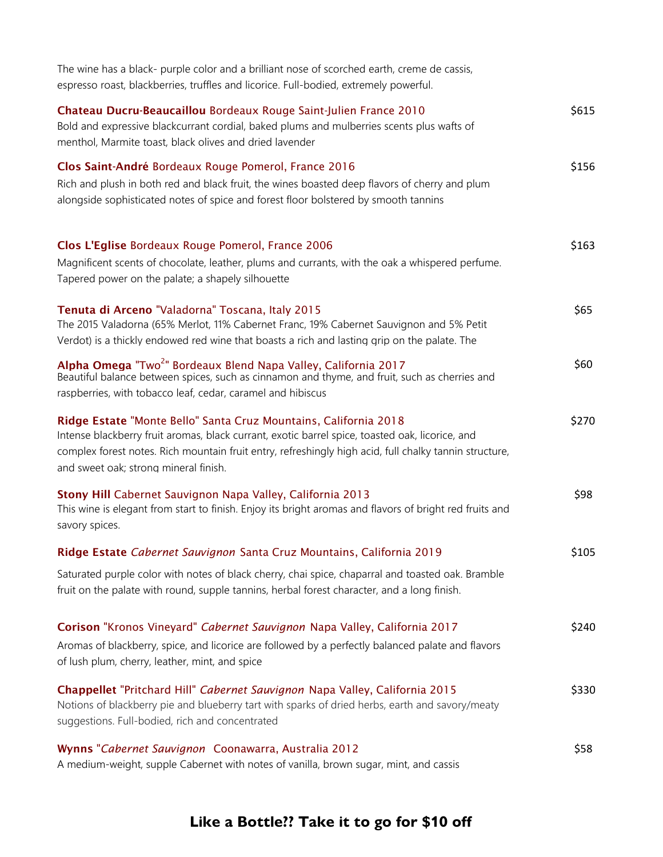| The wine has a black- purple color and a brilliant nose of scorched earth, creme de cassis,<br>espresso roast, blackberries, truffles and licorice. Full-bodied, extremely powerful.                                                                                                                                   |       |
|------------------------------------------------------------------------------------------------------------------------------------------------------------------------------------------------------------------------------------------------------------------------------------------------------------------------|-------|
| Chateau Ducru-Beaucaillou Bordeaux Rouge Saint-Julien France 2010<br>Bold and expressive blackcurrant cordial, baked plums and mulberries scents plus wafts of<br>menthol, Marmite toast, black olives and dried lavender                                                                                              | \$615 |
| Clos Saint-André Bordeaux Rouge Pomerol, France 2016<br>Rich and plush in both red and black fruit, the wines boasted deep flavors of cherry and plum<br>alongside sophisticated notes of spice and forest floor bolstered by smooth tannins                                                                           | \$156 |
| Clos L'Eglise Bordeaux Rouge Pomerol, France 2006<br>Magnificent scents of chocolate, leather, plums and currants, with the oak a whispered perfume.<br>Tapered power on the palate; a shapely silhouette                                                                                                              | \$163 |
| Tenuta di Arceno "Valadorna" Toscana, Italy 2015<br>The 2015 Valadorna (65% Merlot, 11% Cabernet Franc, 19% Cabernet Sauvignon and 5% Petit<br>Verdot) is a thickly endowed red wine that boasts a rich and lasting grip on the palate. The                                                                            | \$65  |
| Alpha Omega "Two <sup>2</sup> " Bordeaux Blend Napa Valley, California 2017<br>Beautiful balance between spices, such as cinnamon and thyme, and fruit, such as cherries and<br>raspberries, with tobacco leaf, cedar, caramel and hibiscus                                                                            | \$60  |
| Ridge Estate "Monte Bello" Santa Cruz Mountains, California 2018<br>Intense blackberry fruit aromas, black currant, exotic barrel spice, toasted oak, licorice, and<br>complex forest notes. Rich mountain fruit entry, refreshingly high acid, full chalky tannin structure,<br>and sweet oak; strong mineral finish. | \$270 |
| Stony Hill Cabernet Sauvignon Napa Valley, California 2013<br>This wine is elegant from start to finish. Enjoy its bright aromas and flavors of bright red fruits and<br>savory spices.                                                                                                                                | \$98  |
| Ridge Estate Cabernet Sauvignon Santa Cruz Mountains, California 2019                                                                                                                                                                                                                                                  | \$105 |
| Saturated purple color with notes of black cherry, chai spice, chaparral and toasted oak. Bramble<br>fruit on the palate with round, supple tannins, herbal forest character, and a long finish.                                                                                                                       |       |
| Corison "Kronos Vineyard" Cabernet Sauvignon Napa Valley, California 2017<br>Aromas of blackberry, spice, and licorice are followed by a perfectly balanced palate and flavors<br>of lush plum, cherry, leather, mint, and spice                                                                                       | \$240 |
| Chappellet "Pritchard Hill" Cabernet Sauvignon Napa Valley, California 2015<br>Notions of blackberry pie and blueberry tart with sparks of dried herbs, earth and savory/meaty<br>suggestions. Full-bodied, rich and concentrated                                                                                      | \$330 |
| Wynns "Cabernet Sauvignon Coonawarra, Australia 2012<br>A medium-weight, supple Cabernet with notes of vanilla, brown sugar, mint, and cassis                                                                                                                                                                          | \$58  |